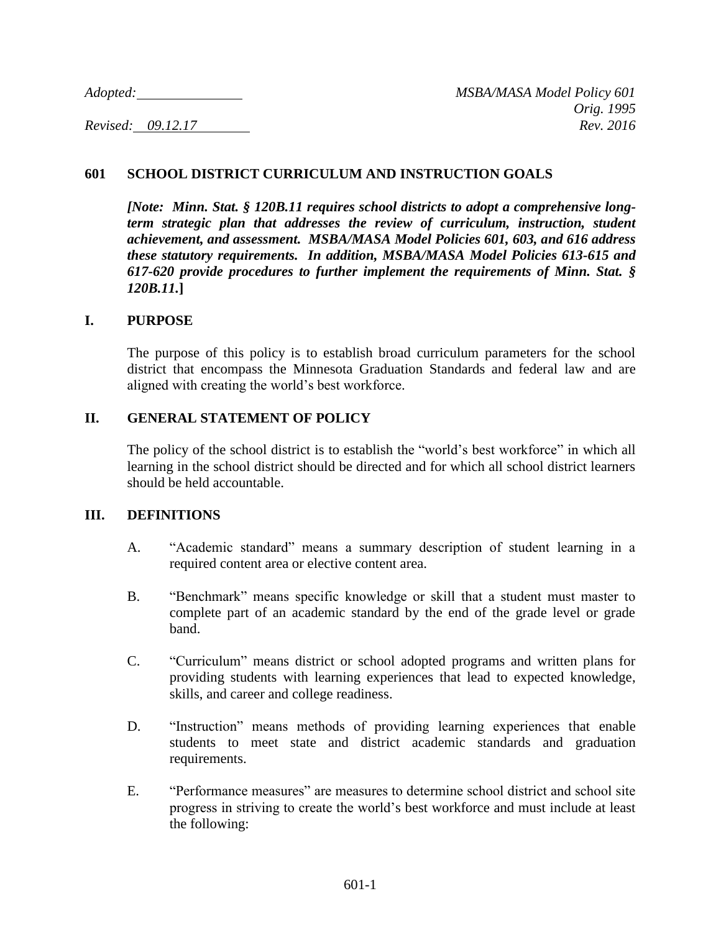#### **601 SCHOOL DISTRICT CURRICULUM AND INSTRUCTION GOALS**

*[Note: Minn. Stat. § 120B.11 requires school districts to adopt a comprehensive longterm strategic plan that addresses the review of curriculum, instruction, student achievement, and assessment. MSBA/MASA Model Policies 601, 603, and 616 address these statutory requirements. In addition, MSBA/MASA Model Policies 613-615 and 617-620 provide procedures to further implement the requirements of Minn. Stat. § 120B.11.***]**

#### **I. PURPOSE**

The purpose of this policy is to establish broad curriculum parameters for the school district that encompass the Minnesota Graduation Standards and federal law and are aligned with creating the world's best workforce.

### **II. GENERAL STATEMENT OF POLICY**

The policy of the school district is to establish the "world's best workforce" in which all learning in the school district should be directed and for which all school district learners should be held accountable.

#### **III. DEFINITIONS**

- A. "Academic standard" means a summary description of student learning in a required content area or elective content area.
- B. "Benchmark" means specific knowledge or skill that a student must master to complete part of an academic standard by the end of the grade level or grade band.
- C. "Curriculum" means district or school adopted programs and written plans for providing students with learning experiences that lead to expected knowledge, skills, and career and college readiness.
- D. "Instruction" means methods of providing learning experiences that enable students to meet state and district academic standards and graduation requirements.
- E. "Performance measures" are measures to determine school district and school site progress in striving to create the world's best workforce and must include at least the following: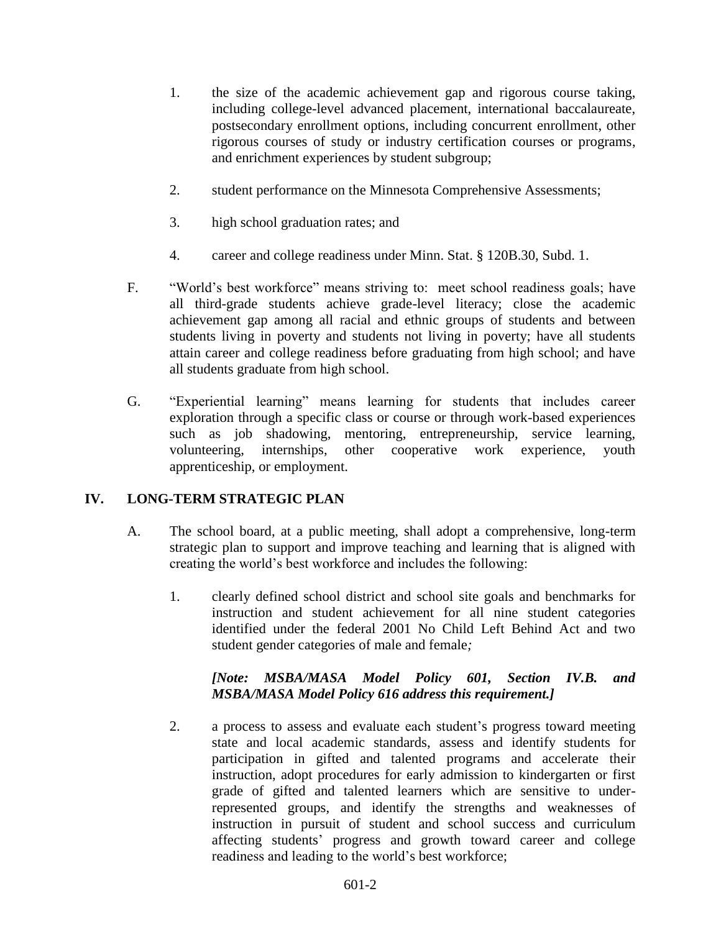- 1. the size of the academic achievement gap and rigorous course taking, including college-level advanced placement, international baccalaureate, postsecondary enrollment options, including concurrent enrollment, other rigorous courses of study or industry certification courses or programs, and enrichment experiences by student subgroup;
- 2. student performance on the Minnesota Comprehensive Assessments;
- 3. high school graduation rates; and
- 4. career and college readiness under Minn. Stat. § 120B.30, Subd. 1.
- F. "World's best workforce" means striving to: meet school readiness goals; have all third-grade students achieve grade-level literacy; close the academic achievement gap among all racial and ethnic groups of students and between students living in poverty and students not living in poverty; have all students attain career and college readiness before graduating from high school; and have all students graduate from high school.
- G. "Experiential learning" means learning for students that includes career exploration through a specific class or course or through work-based experiences such as job shadowing, mentoring, entrepreneurship, service learning, volunteering, internships, other cooperative work experience, youth apprenticeship, or employment.

### **IV. LONG-TERM STRATEGIC PLAN**

- A. The school board, at a public meeting, shall adopt a comprehensive, long-term strategic plan to support and improve teaching and learning that is aligned with creating the world's best workforce and includes the following:
	- 1. clearly defined school district and school site goals and benchmarks for instruction and student achievement for all nine student categories identified under the federal 2001 No Child Left Behind Act and two student gender categories of male and female*;*

# *[Note: MSBA/MASA Model Policy 601, Section IV.B. and MSBA/MASA Model Policy 616 address this requirement.]*

2. a process to assess and evaluate each student's progress toward meeting state and local academic standards, assess and identify students for participation in gifted and talented programs and accelerate their instruction, adopt procedures for early admission to kindergarten or first grade of gifted and talented learners which are sensitive to underrepresented groups, and identify the strengths and weaknesses of instruction in pursuit of student and school success and curriculum affecting students' progress and growth toward career and college readiness and leading to the world's best workforce;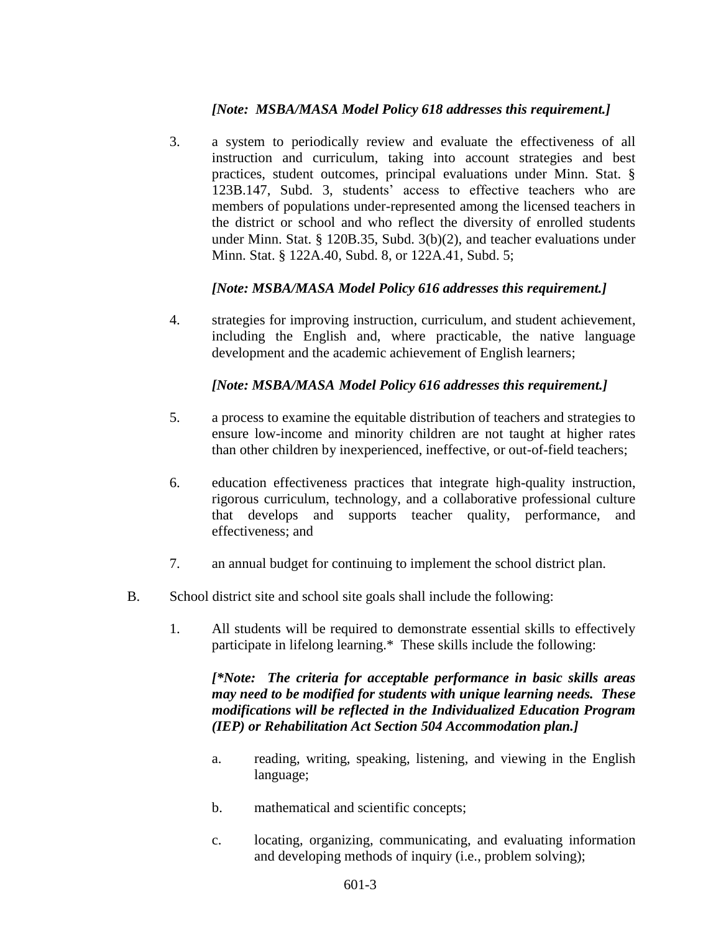## *[Note: MSBA/MASA Model Policy 618 addresses this requirement.]*

3. a system to periodically review and evaluate the effectiveness of all instruction and curriculum, taking into account strategies and best practices, student outcomes, principal evaluations under Minn. Stat. § 123B.147, Subd. 3, students' access to effective teachers who are members of populations under-represented among the licensed teachers in the district or school and who reflect the diversity of enrolled students under Minn. Stat. § 120B.35, Subd. 3(b)(2), and teacher evaluations under Minn. Stat. § 122A.40, Subd. 8, or 122A.41, Subd. 5;

# *[Note: MSBA/MASA Model Policy 616 addresses this requirement.]*

4. strategies for improving instruction, curriculum, and student achievement, including the English and, where practicable, the native language development and the academic achievement of English learners;

# *[Note: MSBA/MASA Model Policy 616 addresses this requirement.]*

- 5. a process to examine the equitable distribution of teachers and strategies to ensure low-income and minority children are not taught at higher rates than other children by inexperienced, ineffective, or out-of-field teachers;
- 6. education effectiveness practices that integrate high-quality instruction, rigorous curriculum, technology, and a collaborative professional culture that develops and supports teacher quality, performance, and effectiveness; and
- 7. an annual budget for continuing to implement the school district plan.
- B. School district site and school site goals shall include the following:
	- 1. All students will be required to demonstrate essential skills to effectively participate in lifelong learning.\* These skills include the following:

*[\*Note: The criteria for acceptable performance in basic skills areas may need to be modified for students with unique learning needs. These modifications will be reflected in the Individualized Education Program (IEP) or Rehabilitation Act Section 504 Accommodation plan.]*

- a. reading, writing, speaking, listening, and viewing in the English language;
- b. mathematical and scientific concepts;
- c. locating, organizing, communicating, and evaluating information and developing methods of inquiry (i.e., problem solving);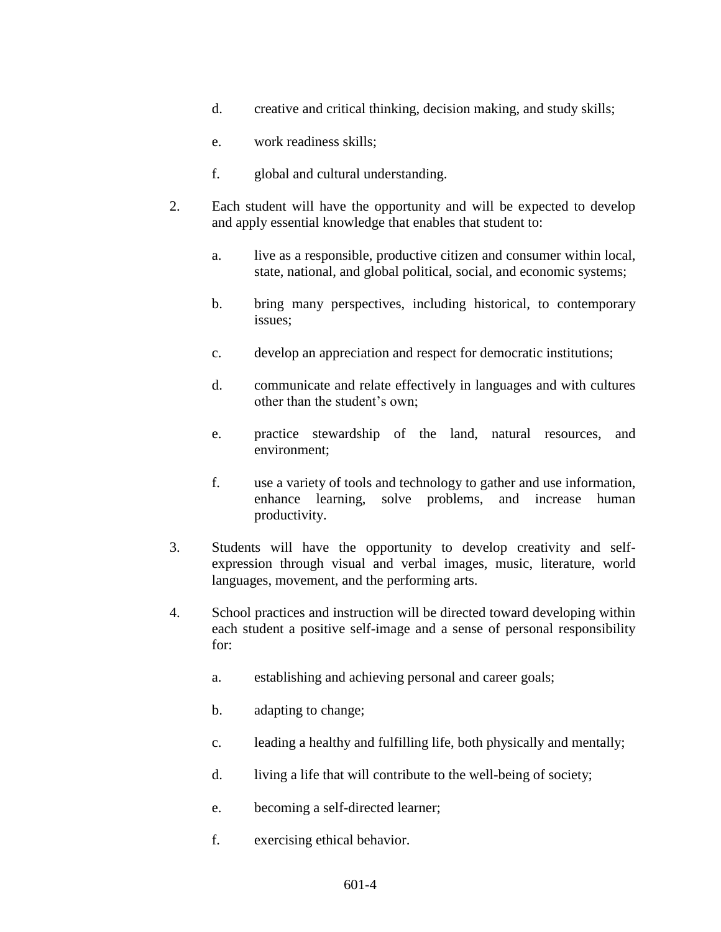- d. creative and critical thinking, decision making, and study skills;
- e. work readiness skills;
- f. global and cultural understanding.
- 2. Each student will have the opportunity and will be expected to develop and apply essential knowledge that enables that student to:
	- a. live as a responsible, productive citizen and consumer within local, state, national, and global political, social, and economic systems;
	- b. bring many perspectives, including historical, to contemporary issues;
	- c. develop an appreciation and respect for democratic institutions;
	- d. communicate and relate effectively in languages and with cultures other than the student's own;
	- e. practice stewardship of the land, natural resources, and environment;
	- f. use a variety of tools and technology to gather and use information, enhance learning, solve problems, and increase human productivity.
- 3. Students will have the opportunity to develop creativity and selfexpression through visual and verbal images, music, literature, world languages, movement, and the performing arts.
- 4. School practices and instruction will be directed toward developing within each student a positive self-image and a sense of personal responsibility for:
	- a. establishing and achieving personal and career goals;
	- b. adapting to change;
	- c. leading a healthy and fulfilling life, both physically and mentally;
	- d. living a life that will contribute to the well-being of society;
	- e. becoming a self-directed learner;
	- f. exercising ethical behavior.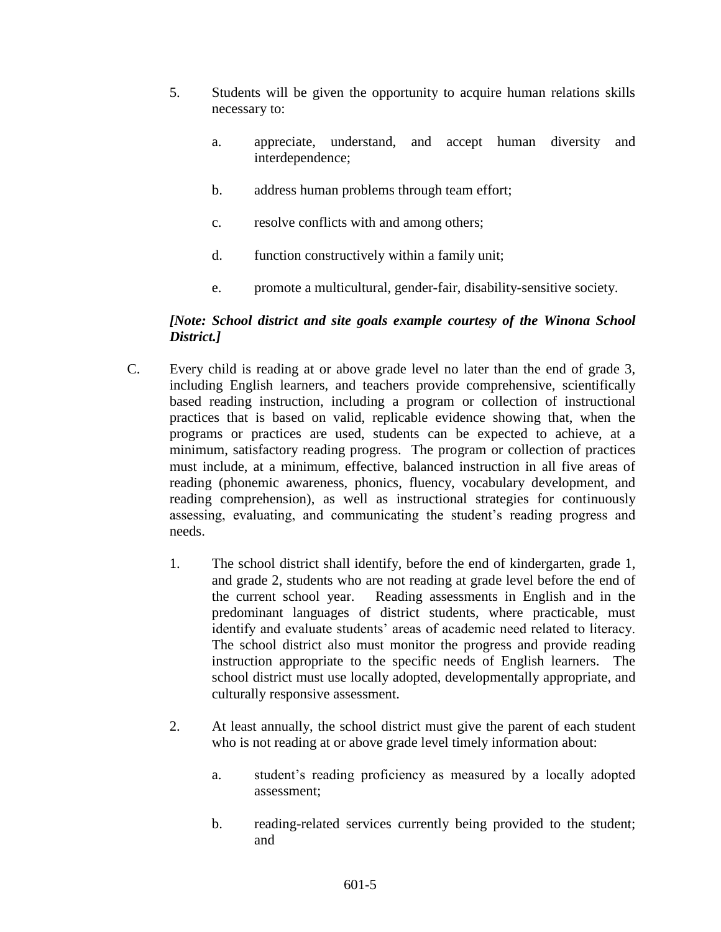- 5. Students will be given the opportunity to acquire human relations skills necessary to:
	- a. appreciate, understand, and accept human diversity and interdependence;
	- b. address human problems through team effort;
	- c. resolve conflicts with and among others;
	- d. function constructively within a family unit;
	- e. promote a multicultural, gender-fair, disability-sensitive society.

## *[Note: School district and site goals example courtesy of the Winona School District.]*

- C. Every child is reading at or above grade level no later than the end of grade 3, including English learners, and teachers provide comprehensive, scientifically based reading instruction, including a program or collection of instructional practices that is based on valid, replicable evidence showing that, when the programs or practices are used, students can be expected to achieve, at a minimum, satisfactory reading progress. The program or collection of practices must include, at a minimum, effective, balanced instruction in all five areas of reading (phonemic awareness, phonics, fluency, vocabulary development, and reading comprehension), as well as instructional strategies for continuously assessing, evaluating, and communicating the student's reading progress and needs.
	- 1. The school district shall identify, before the end of kindergarten, grade 1, and grade 2, students who are not reading at grade level before the end of the current school year. Reading assessments in English and in the predominant languages of district students, where practicable, must identify and evaluate students' areas of academic need related to literacy. The school district also must monitor the progress and provide reading instruction appropriate to the specific needs of English learners. The school district must use locally adopted, developmentally appropriate, and culturally responsive assessment.
	- 2. At least annually, the school district must give the parent of each student who is not reading at or above grade level timely information about:
		- a. student's reading proficiency as measured by a locally adopted assessment;
		- b. reading-related services currently being provided to the student; and